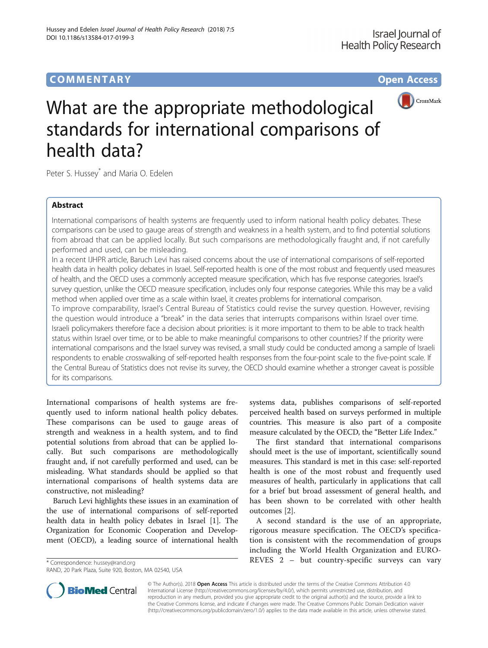# **COMMENTARY COMMENTARY Open Access**





# What are the appropriate methodological standards for international comparisons of health data?

Peter S. Hussey<sup>\*</sup> and Maria O. Edelen

# Abstract

International comparisons of health systems are frequently used to inform national health policy debates. These comparisons can be used to gauge areas of strength and weakness in a health system, and to find potential solutions from abroad that can be applied locally. But such comparisons are methodologically fraught and, if not carefully performed and used, can be misleading.

In a recent IJHPR article, Baruch Levi has raised concerns about the use of international comparisons of self-reported health data in health policy debates in Israel. Self-reported health is one of the most robust and frequently used measures of health, and the OECD uses a commonly accepted measure specification, which has five response categories. Israel's survey question, unlike the OECD measure specification, includes only four response categories. While this may be a valid method when applied over time as a scale within Israel, it creates problems for international comparison. To improve comparability, Israel's Central Bureau of Statistics could revise the survey question. However, revising

the question would introduce a "break" in the data series that interrupts comparisons within Israel over time. Israeli policymakers therefore face a decision about priorities: is it more important to them to be able to track health status within Israel over time, or to be able to make meaningful comparisons to other countries? If the priority were international comparisons and the Israel survey was revised, a small study could be conducted among a sample of Israeli respondents to enable crosswalking of self-reported health responses from the four-point scale to the five-point scale. If the Central Bureau of Statistics does not revise its survey, the OECD should examine whether a stronger caveat is possible for its comparisons.

International comparisons of health systems are frequently used to inform national health policy debates. These comparisons can be used to gauge areas of strength and weakness in a health system, and to find potential solutions from abroad that can be applied locally. But such comparisons are methodologically fraught and, if not carefully performed and used, can be misleading. What standards should be applied so that international comparisons of health systems data are constructive, not misleading?

Baruch Levi highlights these issues in an examination of the use of international comparisons of self-reported health data in health policy debates in Israel [\[1](#page-2-0)]. The Organization for Economic Cooperation and Development (OECD), a leading source of international health

RAND, 20 Park Plaza, Suite 920, Boston, MA 02540, USA

systems data, publishes comparisons of self-reported perceived health based on surveys performed in multiple countries. This measure is also part of a composite measure calculated by the OECD, the "Better Life Index."

The first standard that international comparisons should meet is the use of important, scientifically sound measures. This standard is met in this case: self-reported health is one of the most robust and frequently used measures of health, particularly in applications that call for a brief but broad assessment of general health, and has been shown to be correlated with other health outcomes [\[2](#page-2-0)].

A second standard is the use of an appropriate, rigorous measure specification. The OECD's specification is consistent with the recommendation of groups including the World Health Organization and EURO\*Correspondence: [hussey@rand.org](mailto:hussey@rand.org) **REVES 2 – but country-specific surveys can vary** 



© The Author(s). 2018 Open Access This article is distributed under the terms of the Creative Commons Attribution 4.0 International License [\(http://creativecommons.org/licenses/by/4.0/](http://creativecommons.org/licenses/by/4.0/)), which permits unrestricted use, distribution, and reproduction in any medium, provided you give appropriate credit to the original author(s) and the source, provide a link to the Creative Commons license, and indicate if changes were made. The Creative Commons Public Domain Dedication waiver [\(http://creativecommons.org/publicdomain/zero/1.0/](http://creativecommons.org/publicdomain/zero/1.0/)) applies to the data made available in this article, unless otherwise stated.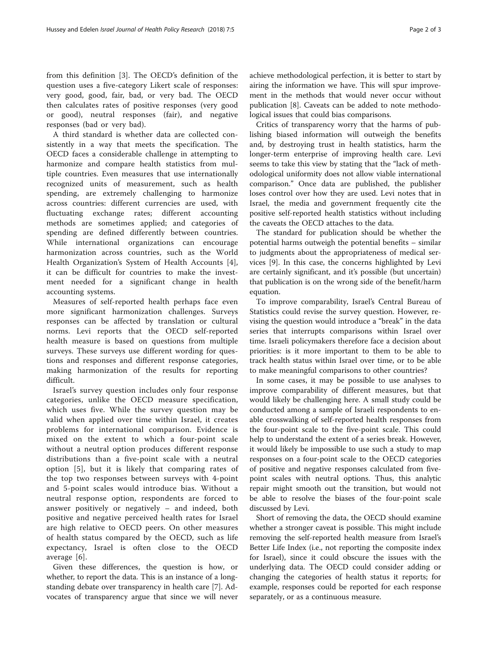from this definition [\[3](#page-2-0)]. The OECD's definition of the question uses a five-category Likert scale of responses: very good, good, fair, bad, or very bad. The OECD then calculates rates of positive responses (very good or good), neutral responses (fair), and negative responses (bad or very bad).

A third standard is whether data are collected consistently in a way that meets the specification. The OECD faces a considerable challenge in attempting to harmonize and compare health statistics from multiple countries. Even measures that use internationally recognized units of measurement, such as health spending, are extremely challenging to harmonize across countries: different currencies are used, with fluctuating exchange rates; different accounting methods are sometimes applied; and categories of spending are defined differently between countries. While international organizations can encourage harmonization across countries, such as the World Health Organization's System of Health Accounts [\[4](#page-2-0)], it can be difficult for countries to make the investment needed for a significant change in health accounting systems.

Measures of self-reported health perhaps face even more significant harmonization challenges. Surveys responses can be affected by translation or cultural norms. Levi reports that the OECD self-reported health measure is based on questions from multiple surveys. These surveys use different wording for questions and responses and different response categories, making harmonization of the results for reporting difficult.

Israel's survey question includes only four response categories, unlike the OECD measure specification, which uses five. While the survey question may be valid when applied over time within Israel, it creates problems for international comparison. Evidence is mixed on the extent to which a four-point scale without a neutral option produces different response distributions than a five-point scale with a neutral option [[5\]](#page-2-0), but it is likely that comparing rates of the top two responses between surveys with 4-point and 5-point scales would introduce bias. Without a neutral response option, respondents are forced to answer positively or negatively – and indeed, both positive and negative perceived health rates for Israel are high relative to OECD peers. On other measures of health status compared by the OECD, such as life expectancy, Israel is often close to the OECD average [[6\]](#page-2-0).

Given these differences, the question is how, or whether, to report the data. This is an instance of a longstanding debate over transparency in health care [[7\]](#page-2-0). Advocates of transparency argue that since we will never achieve methodological perfection, it is better to start by airing the information we have. This will spur improvement in the methods that would never occur without publication [\[8](#page-2-0)]. Caveats can be added to note methodological issues that could bias comparisons.

Critics of transparency worry that the harms of publishing biased information will outweigh the benefits and, by destroying trust in health statistics, harm the longer-term enterprise of improving health care. Levi seems to take this view by stating that the "lack of methodological uniformity does not allow viable international comparison." Once data are published, the publisher loses control over how they are used. Levi notes that in Israel, the media and government frequently cite the positive self-reported health statistics without including the caveats the OECD attaches to the data.

The standard for publication should be whether the potential harms outweigh the potential benefits – similar to judgments about the appropriateness of medical services [[9](#page-2-0)]. In this case, the concerns highlighted by Levi are certainly significant, and it's possible (but uncertain) that publication is on the wrong side of the benefit/harm equation.

To improve comparability, Israel's Central Bureau of Statistics could revise the survey question. However, revising the question would introduce a "break" in the data series that interrupts comparisons within Israel over time. Israeli policymakers therefore face a decision about priorities: is it more important to them to be able to track health status within Israel over time, or to be able to make meaningful comparisons to other countries?

In some cases, it may be possible to use analyses to improve comparability of different measures, but that would likely be challenging here. A small study could be conducted among a sample of Israeli respondents to enable crosswalking of self-reported health responses from the four-point scale to the five-point scale. This could help to understand the extent of a series break. However, it would likely be impossible to use such a study to map responses on a four-point scale to the OECD categories of positive and negative responses calculated from fivepoint scales with neutral options. Thus, this analytic repair might smooth out the transition, but would not be able to resolve the biases of the four-point scale discussed by Levi.

Short of removing the data, the OECD should examine whether a stronger caveat is possible. This might include removing the self-reported health measure from Israel's Better Life Index (i.e., not reporting the composite index for Israel), since it could obscure the issues with the underlying data. The OECD could consider adding or changing the categories of health status it reports; for example, responses could be reported for each response separately, or as a continuous measure.